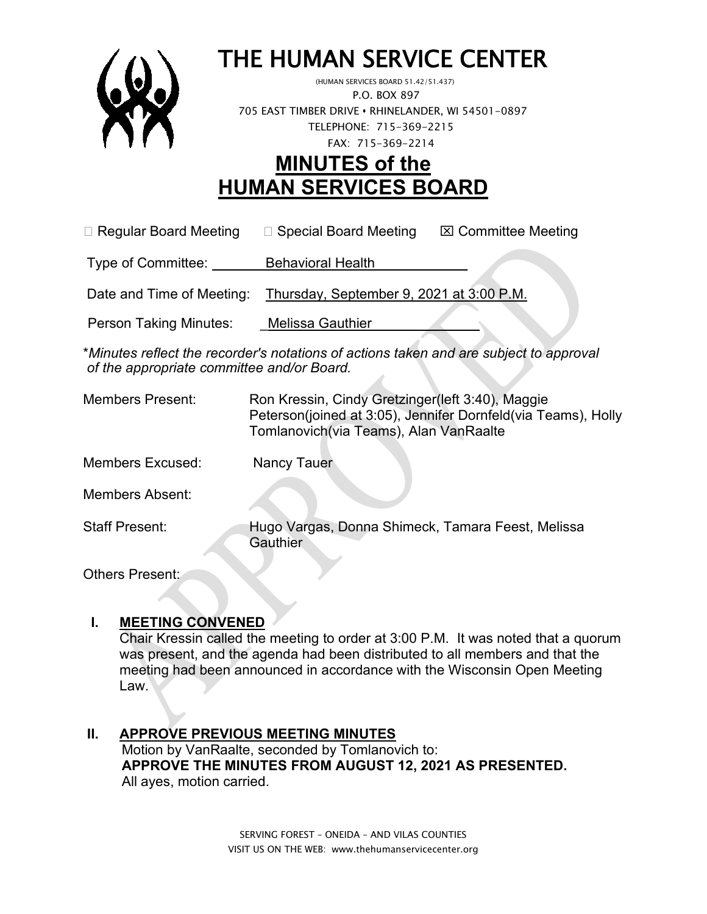

# THE HUMAN SERVICE CENTER (HUMAN SERVICES BOARD 51.42/51.437)

 P.O. BOX 897 705 EAST TIMBER DRIVE **•** RHINELANDER, WI 54501-0897 TELEPHONE: 715-369-2215 FAX: 715-369-2214

# **MINUTES of the HUMAN SERVICES BOARD**

 $\Box$  Regular Board Meeting  $\Box$  Special Board Meeting  $\Box$  Committee Meeting

Type of Committee: Behavioral Health

Date and Time of Meeting: Thursday, September 9, 2021 at 3:00 P.M.

Person Taking Minutes: Melissa Gauthier

\**Minutes reflect the recorder's notations of actions taken and are subject to approval of the appropriate committee and/or Board.*

- Members Present: Ron Kressin, Cindy Gretzinger(left 3:40), Maggie Peterson(joined at 3:05), Jennifer Dornfeld(via Teams), Holly Tomlanovich(via Teams), Alan VanRaalte
- Members Excused: Nancy Tauer

Members Absent:

Staff Present: Hugo Vargas, Donna Shimeck, Tamara Feest, Melissa **Gauthier** 

Others Present:

# **I. MEETING CONVENED**

Chair Kressin called the meeting to order at 3:00 P.M. It was noted that a quorum was present, and the agenda had been distributed to all members and that the meeting had been announced in accordance with the Wisconsin Open Meeting Law.

#### **II. APPROVE PREVIOUS MEETING MINUTES**  Motion by VanRaalte, seconded by Tomlanovich to:  **APPROVE THE MINUTES FROM AUGUST 12, 2021 AS PRESENTED.** All ayes, motion carried.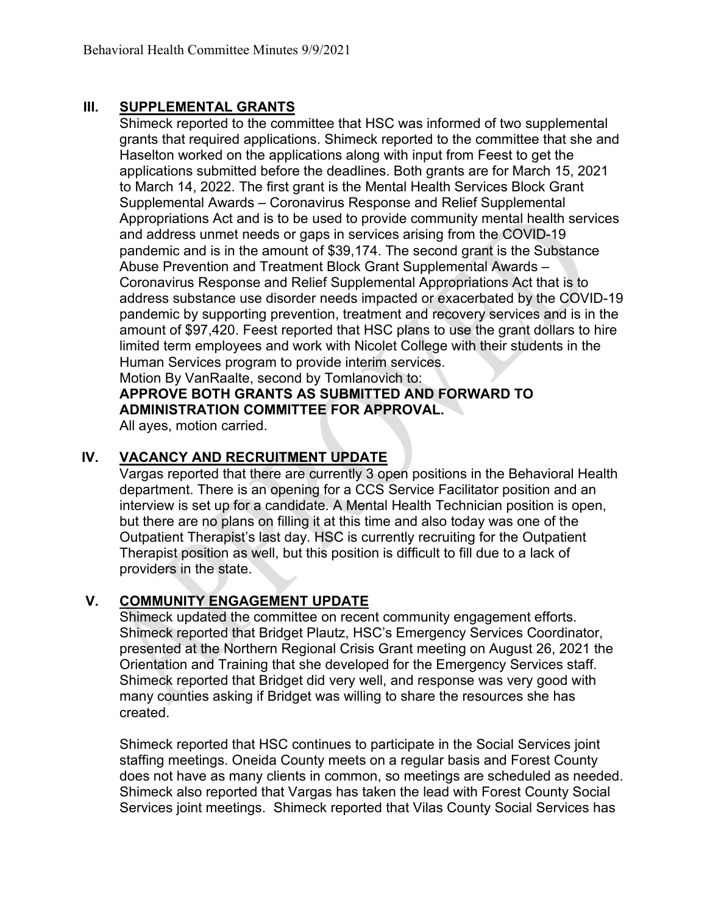#### **III. SUPPLEMENTAL GRANTS**

Shimeck reported to the committee that HSC was informed of two supplemental grants that required applications. Shimeck reported to the committee that she and Haselton worked on the applications along with input from Feest to get the applications submitted before the deadlines. Both grants are for March 15, 2021 to March 14, 2022. The first grant is the Mental Health Services Block Grant Supplemental Awards – Coronavirus Response and Relief Supplemental Appropriations Act and is to be used to provide community mental health services and address unmet needs or gaps in services arising from the COVID-19 pandemic and is in the amount of \$39,174. The second grant is the Substance Abuse Prevention and Treatment Block Grant Supplemental Awards – Coronavirus Response and Relief Supplemental Appropriations Act that is to address substance use disorder needs impacted or exacerbated by the COVID-19 pandemic by supporting prevention, treatment and recovery services and is in the amount of \$97,420. Feest reported that HSC plans to use the grant dollars to hire limited term employees and work with Nicolet College with their students in the Human Services program to provide interim services. Motion By VanRaalte, second by Tomlanovich to:

#### **APPROVE BOTH GRANTS AS SUBMITTED AND FORWARD TO ADMINISTRATION COMMITTEE FOR APPROVAL.**

All ayes, motion carried.

#### **IV. VACANCY AND RECRUITMENT UPDATE**

Vargas reported that there are currently 3 open positions in the Behavioral Health department. There is an opening for a CCS Service Facilitator position and an interview is set up for a candidate. A Mental Health Technician position is open, but there are no plans on filling it at this time and also today was one of the Outpatient Therapist's last day. HSC is currently recruiting for the Outpatient Therapist position as well, but this position is difficult to fill due to a lack of providers in the state.

#### **V. COMMUNITY ENGAGEMENT UPDATE**

Shimeck updated the committee on recent community engagement efforts. Shimeck reported that Bridget Plautz, HSC's Emergency Services Coordinator, presented at the Northern Regional Crisis Grant meeting on August 26, 2021 the Orientation and Training that she developed for the Emergency Services staff. Shimeck reported that Bridget did very well, and response was very good with many counties asking if Bridget was willing to share the resources she has created.

Shimeck reported that HSC continues to participate in the Social Services joint staffing meetings. Oneida County meets on a regular basis and Forest County does not have as many clients in common, so meetings are scheduled as needed. Shimeck also reported that Vargas has taken the lead with Forest County Social Services joint meetings. Shimeck reported that Vilas County Social Services has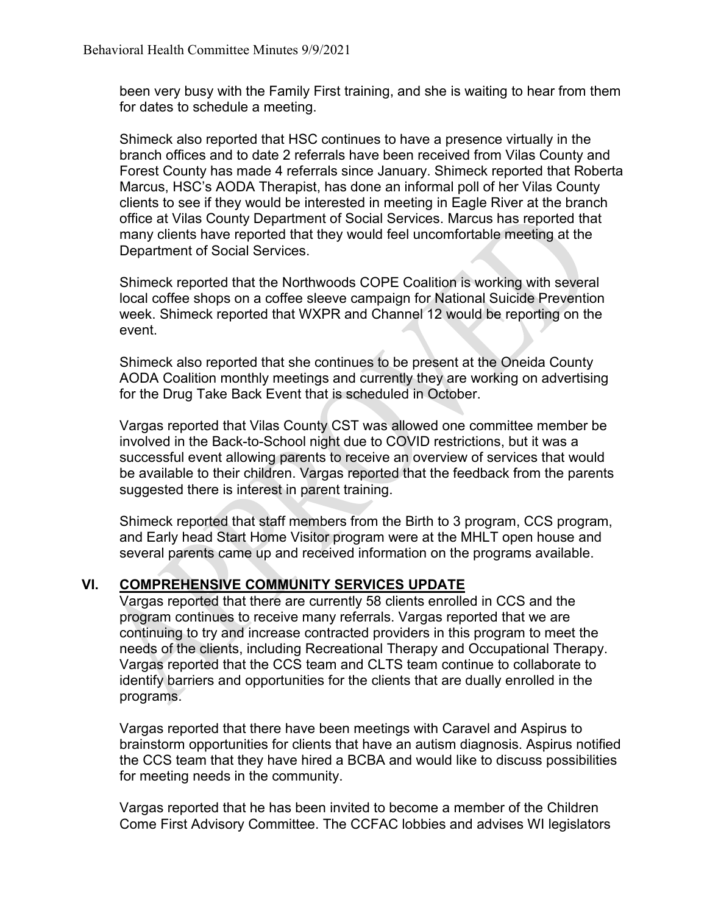been very busy with the Family First training, and she is waiting to hear from them for dates to schedule a meeting.

Shimeck also reported that HSC continues to have a presence virtually in the branch offices and to date 2 referrals have been received from Vilas County and Forest County has made 4 referrals since January. Shimeck reported that Roberta Marcus, HSC's AODA Therapist, has done an informal poll of her Vilas County clients to see if they would be interested in meeting in Eagle River at the branch office at Vilas County Department of Social Services. Marcus has reported that many clients have reported that they would feel uncomfortable meeting at the Department of Social Services.

Shimeck reported that the Northwoods COPE Coalition is working with several local coffee shops on a coffee sleeve campaign for National Suicide Prevention week. Shimeck reported that WXPR and Channel 12 would be reporting on the event.

Shimeck also reported that she continues to be present at the Oneida County AODA Coalition monthly meetings and currently they are working on advertising for the Drug Take Back Event that is scheduled in October.

Vargas reported that Vilas County CST was allowed one committee member be involved in the Back-to-School night due to COVID restrictions, but it was a successful event allowing parents to receive an overview of services that would be available to their children. Vargas reported that the feedback from the parents suggested there is interest in parent training.

Shimeck reported that staff members from the Birth to 3 program, CCS program, and Early head Start Home Visitor program were at the MHLT open house and several parents came up and received information on the programs available.

#### **VI. COMPREHENSIVE COMMUNITY SERVICES UPDATE**

Vargas reported that there are currently 58 clients enrolled in CCS and the program continues to receive many referrals. Vargas reported that we are continuing to try and increase contracted providers in this program to meet the needs of the clients, including Recreational Therapy and Occupational Therapy. Vargas reported that the CCS team and CLTS team continue to collaborate to identify barriers and opportunities for the clients that are dually enrolled in the programs.

Vargas reported that there have been meetings with Caravel and Aspirus to brainstorm opportunities for clients that have an autism diagnosis. Aspirus notified the CCS team that they have hired a BCBA and would like to discuss possibilities for meeting needs in the community.

Vargas reported that he has been invited to become a member of the Children Come First Advisory Committee. The CCFAC lobbies and advises WI legislators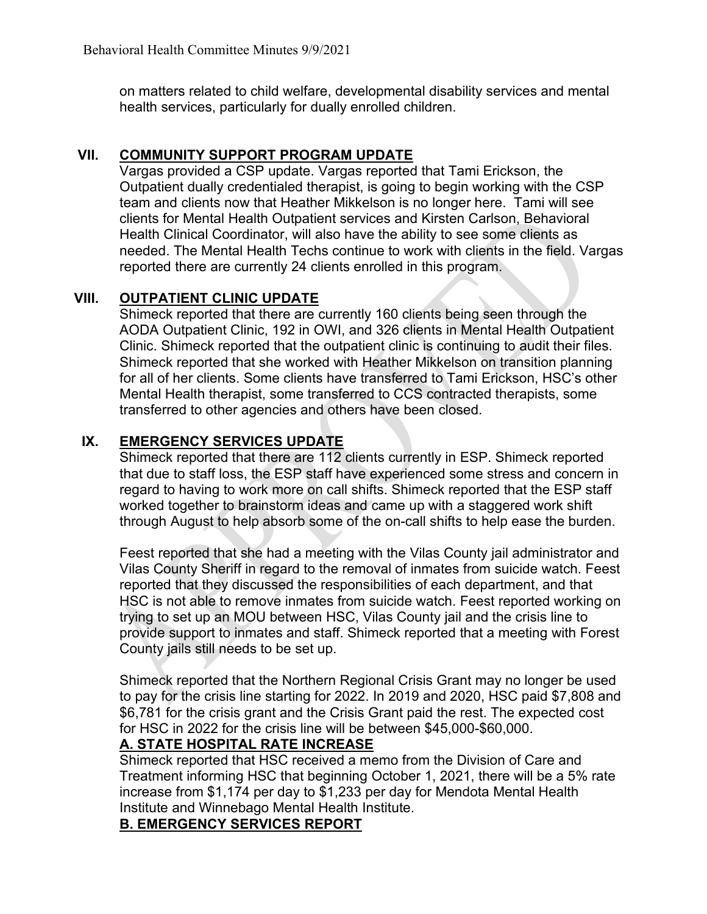on matters related to child welfare, developmental disability services and mental health services, particularly for dually enrolled children.

#### **VII. COMMUNITY SUPPORT PROGRAM UPDATE**

Vargas provided a CSP update. Vargas reported that Tami Erickson, the Outpatient dually credentialed therapist, is going to begin working with the CSP team and clients now that Heather Mikkelson is no longer here. Tami will see clients for Mental Health Outpatient services and Kirsten Carlson, Behavioral Health Clinical Coordinator, will also have the ability to see some clients as needed. The Mental Health Techs continue to work with clients in the field. Vargas reported there are currently 24 clients enrolled in this program.

# **VIII. OUTPATIENT CLINIC UPDATE**

Shimeck reported that there are currently 160 clients being seen through the AODA Outpatient Clinic, 192 in OWI, and 326 clients in Mental Health Outpatient Clinic. Shimeck reported that the outpatient clinic is continuing to audit their files. Shimeck reported that she worked with Heather Mikkelson on transition planning for all of her clients. Some clients have transferred to Tami Erickson, HSC's other Mental Health therapist, some transferred to CCS contracted therapists, some transferred to other agencies and others have been closed.

# **IX. EMERGENCY SERVICES UPDATE**

Shimeck reported that there are 112 clients currently in ESP. Shimeck reported that due to staff loss, the ESP staff have experienced some stress and concern in regard to having to work more on call shifts. Shimeck reported that the ESP staff worked together to brainstorm ideas and came up with a staggered work shift through August to help absorb some of the on-call shifts to help ease the burden.

Feest reported that she had a meeting with the Vilas County jail administrator and Vilas County Sheriff in regard to the removal of inmates from suicide watch. Feest reported that they discussed the responsibilities of each department, and that HSC is not able to remove inmates from suicide watch. Feest reported working on trying to set up an MOU between HSC, Vilas County jail and the crisis line to provide support to inmates and staff. Shimeck reported that a meeting with Forest County jails still needs to be set up.

Shimeck reported that the Northern Regional Crisis Grant may no longer be used to pay for the crisis line starting for 2022. In 2019 and 2020, HSC paid \$7,808 and \$6,781 for the crisis grant and the Crisis Grant paid the rest. The expected cost for HSC in 2022 for the crisis line will be between \$45,000-\$60,000.

#### **A. STATE HOSPITAL RATE INCREASE**

Shimeck reported that HSC received a memo from the Division of Care and Treatment informing HSC that beginning October 1, 2021, there will be a 5% rate increase from \$1,174 per day to \$1,233 per day for Mendota Mental Health Institute and Winnebago Mental Health Institute.

#### **B. EMERGENCY SERVICES REPORT**